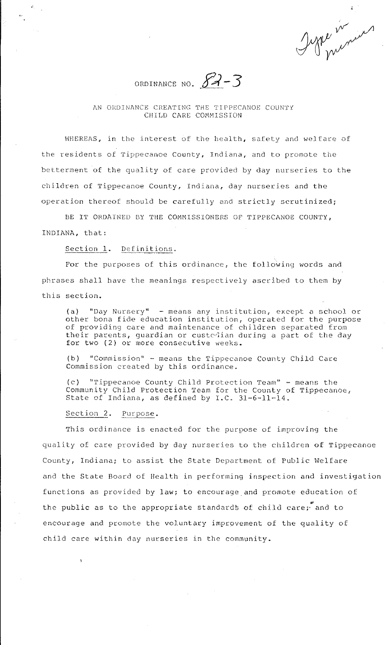Igne in in

ORDINANCE NO.  $83 - 3$ 

## AN ORDINANCE CREATING THE TIPPECANOE COUNTY CHILD CARE COMMISSION

WHEREAS, in the interest of the health, safety and welfare of the residents of Tippecanoe County, Indiana, and to promote the betterment of the quality of care provided by day nurseries to the children of Tippecanoe County, Indiana, day nurseries and the operation thereof should be carefully and strictly scrutinized;

BE IT ORDAINED BY THE COMMISSIONERS OF TIPPECANOE COUNTY, INDIANA, that:

**Section 1. Definitions.** 

For the purposes of this ordinance, the following words and phrases shall have the meanings respectively ascribed to them by this section.

(a) "Day Nursery" - means any institution, except a school or other bona fide education institution, operated for the purpose of providing care and maintenance of children separated from their parents, guardian or custedian during a part of the day for two (2) or more consecutive weeks.

(b) "Commission" - means the Tippecanoe County Child Care Commission created by this ordinance.

le) ''Tippecanoe County Child Protection Team'' - means the Community Child Protection Team for the County of Tippecanoe, State of Indiana, as defined by  $I.C. 31-6-11-14.$ 

Section 2. Purpose.

This ordinance is enacted for the purpose of improving the quality of care provided by day nurseries to the children of Tippecanoe County, Indiana; to assist the State Department of Public Welfare and the State Board of Health in performing inspection and investigation functions as provided by law; to encourage and promote education of the public as to the appropriate standards of child care; and to encourage and promote the voluntary improvement of the quality of child care within day nurseries in the community.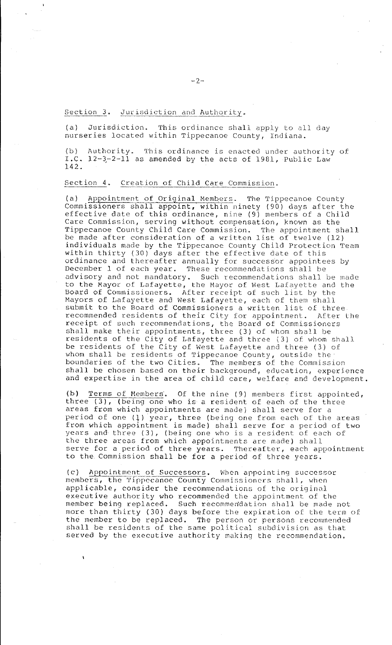Section 3. Jurisdiction and Authority.

(a) Jurisdiction. This ordinance shall apply to all day nurseries located within Tippecanoe County, Indiana.

 $(b)$ I.C. 142. Authority. This ordinance is enacted under authority of  $12-3-2-11$  as amended by the acts of 1981, Public Law

## Section 4. Creation of Child Care Commission.

(a) Appointment of Original Members. The Tippecanoe County Commissioners shall appoint, within ninety (90) days after the effective date of this ordinance, nine (9) members of a Child Care Commission, serving without compensation, known as the Tippecanoe County Child Care Commission. The appointment shall be made after consideration of a written list of twelve (12) individuals made by the Tippecanoe County Child Protection Team within thirty (30) days after the effective date of this ordinance and thereafter annually for successor appointees by December 1 of each year. These recommendations shall be advisory and not mandatory. Such recommendations shall be made to the Mayor of Lafayette, the Mayor of West Lafayette and the Board of Commissioners. After receipt of such list by the Mayors of Lafayette and West Lafayette, each of them shall submit to the Board of Commissioners a written list of three recommended residents of their City for appointment. After the receipt of such recommendations, the Board of Commissioners shall make their appointments, three (3) of whom shall be residents of the City of Lafayette and three (3) of whom shall be residents of the City of West Lafayette and three (3) of whom shall be residents of Tippecanoe County, outside the boundaries of the two Cities. The members of the Commission shall be chosen based on their background, education, experience and expertise in the area of child care, welfare and development.

(b) Terms of Members. Of the nine (9) members first appointed, three (3), (being one who is a resident of each of the three areas from which appointments are made) shall serve for a areas from which appointments are made) shall serve for a<br>period of one (1) year, three (being one from each of the areas from which appointment is made) shall serve for a period of two years and three (3), (being one who is a resident of each of the three areas from which appointments are made) shall serve for a period of three years. Thereafter, each appointment to the. Commission shall be for a period of three years.

(c) Appointment of Successors. When appointing successor members, the Tippecanoe County Commissioners shall, when applicable, consider the recommendations of the original executive authority who recommended the appointment of the member being ceplaced. Such recommeridation shall be made not more than thirty (30) days before the expiration of the term of the member to be replaced. The person or persons recommended shall be residents of the same political subdivision as that served by the executive authority making the recommendation.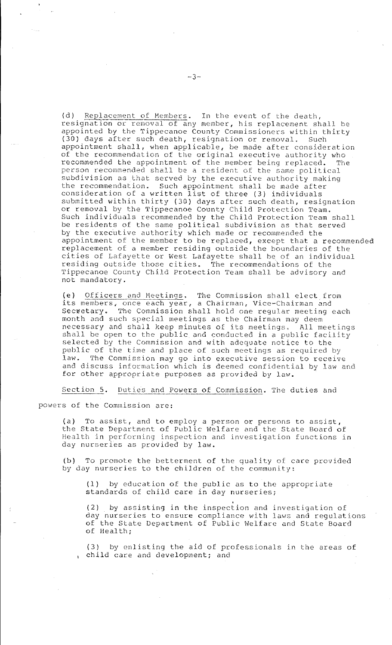(d) Replacement of Members. In the event of the death, resignation or removal of any member, his replacement shall be appointed by the Tippecanoe County Commissioners within thirty<br>(30) days after such death, resignation or removal. Such (30) days after such death, resignation or removal. appointment shall, when applicable, be made after consideration of the recommendation of the original executive authority who recommended the appointment of the member being replaced. The person recommended shall be a resident of the same political subdivision as that served by the executive authority making the recommendation. Such appointment shall be made after consideration of a written list of three (3) individuals submitted within thirty (30) days after such death, resignation or removal by the Tippecanoe County Child Protection Team. Such individuals recommended by the Child Protection Team shall be residents of the same political subdivision as that served by the executive authority which made or recommended the appointment of the member to be replaced, except that a recommended replacement of a member residing outside the boundaries of the cities of Lafayette or West Lafayette shall be of an individual residing outside those cities. The recommendations of the Tippecanoe County Child Protection Team shall be advisory and not mandatory.

(e) Officers and Meetings. The Commission shall elect. from its members, once each year, a Chairman, Vice-Chairman and Secretary. The Commission shall hold one regular meeting each month and such special meetings as the Chairman may deem necessary and shall keep minutes of its meetings. All meetings shall be open to the public and conducted in a public facility selected by the Commission and with adequate notice to the public of the time and place of such meetings as required by<br>law. The Commission may go into executive session to receiv The Commission may go into executive session to receive and discuss information which is deemed confidential by law and for other appropriate purposes as provided by law.

**Sectibn 5. Duties and Powers of** Commission~ **The duties and** 

powers of the Commission are:

(a) To assist, and to employ a person or persons to assist, the State Department of Public Welfare and the State Board of Health in performing inspection and investigation functions in day nurseries as provided by law.

(b) To promote the betterment of the quality of care provided by day nurseries to the children of the community:

(1) by education of the public as to the appropriate standards of child care in day nurseries;

• (2) by assisting in the inspection and investigation of day nurseries to ensure compliance with laws and regulations of the State Department of Public Welfare and State Board of Health;

(3) by enlisting the aid of professionals in the areas of child care and development; and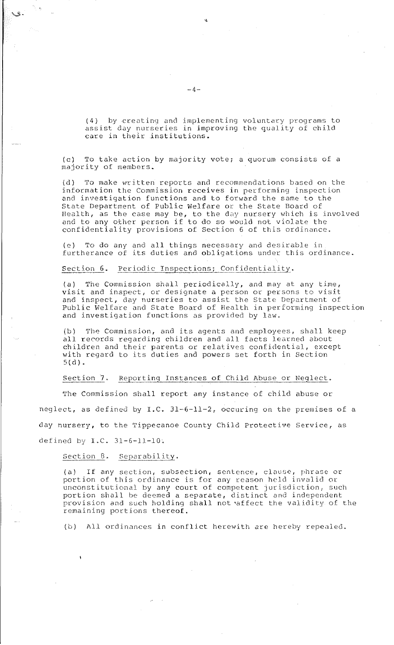(4) by creating and implementing voluntary programs to assist day nurseries in improving the quality of child care in their institutions.

(c) To take action by majority vote; a quorum consists of a majority of members.

(d) To make written reports and recommendations based on the information the Commission receives in performing inspection and investigation functions and to forward the same to the State Department of Public Welfare or the State Board of Health, as the case may be, to the day nursery which is involved and to any other person if to do so would not violate the confidentiality provisions of Section 6 of this ordinance.

(e) To do any and all things necessary and desirable in furtherance of its duties and obligations under this ordinance.

## Section 6. Periodic Inspections; Confidentiality.

(a) The Commission shall periodically, and may at any time, visit and inspect, or designate a person or persons to visit and inspect, day nurseries to assist the State Department of Public Welfare and State Board of Health in performing inspection and investigation functions as provided by law.

(b) The Commission, and its agents and employees, shall keep all records regarding children and all facts learned about children and their parents or relatives confidential, except with regard to its duties and powers set forth in Section 5(d).

Section 7. Reporting Instances of Child Abuse or Neglect.

The Commission shall report any instance of child abuse or neglect, as defined by I.C. 31-6-11-2, occuring on the premises of a day nursery, to the Tippecanoe County Child Protective Service, as defined by  $I.C. 31-6-11-10.$ 

Section 8. Separability.

(a) If any section, subsection, sentence, clause, phrase or portion of this ordinance is for any reason held invalid or unconstitutional by any court of competent jurisdiction, such portion shall be deemed a separate, distinct and independent provision and such holding shall not •affect the validity of the remaining portions thereof.

(b) All ordinances in conflict herewith are hereby repealed.

,,

 $\searrow$